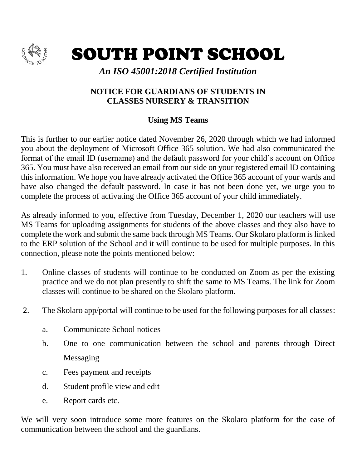

SOUTH POINT SCHOOL

*An ISO 45001:2018 Certified Institution*

## **NOTICE FOR GUARDIANS OF STUDENTS IN CLASSES NURSERY & TRANSITION**

## **Using MS Teams**

This is further to our earlier notice dated November 26, 2020 through which we had informed you about the deployment of Microsoft Office 365 solution. We had also communicated the format of the email ID (username) and the default password for your child's account on Office 365. You must have also received an email from our side on your registered email ID containing this information. We hope you have already activated the Office 365 account of your wards and have also changed the default password. In case it has not been done yet, we urge you to complete the process of activating the Office 365 account of your child immediately.

As already informed to you, effective from Tuesday, December 1, 2020 our teachers will use MS Teams for uploading assignments for students of the above classes and they also have to complete the work and submit the same back through MS Teams. Our Skolaro platform is linked to the ERP solution of the School and it will continue to be used for multiple purposes. In this connection, please note the points mentioned below:

- 1. Online classes of students will continue to be conducted on Zoom as per the existing practice and we do not plan presently to shift the same to MS Teams. The link for Zoom classes will continue to be shared on the Skolaro platform.
- 2. The Skolaro app/portal will continue to be used for the following purposes for all classes:
	- a. Communicate School notices
	- b. One to one communication between the school and parents through Direct Messaging
	- c. Fees payment and receipts
	- d. Student profile view and edit
	- e. Report cards etc.

We will very soon introduce some more features on the Skolaro platform for the ease of communication between the school and the guardians.